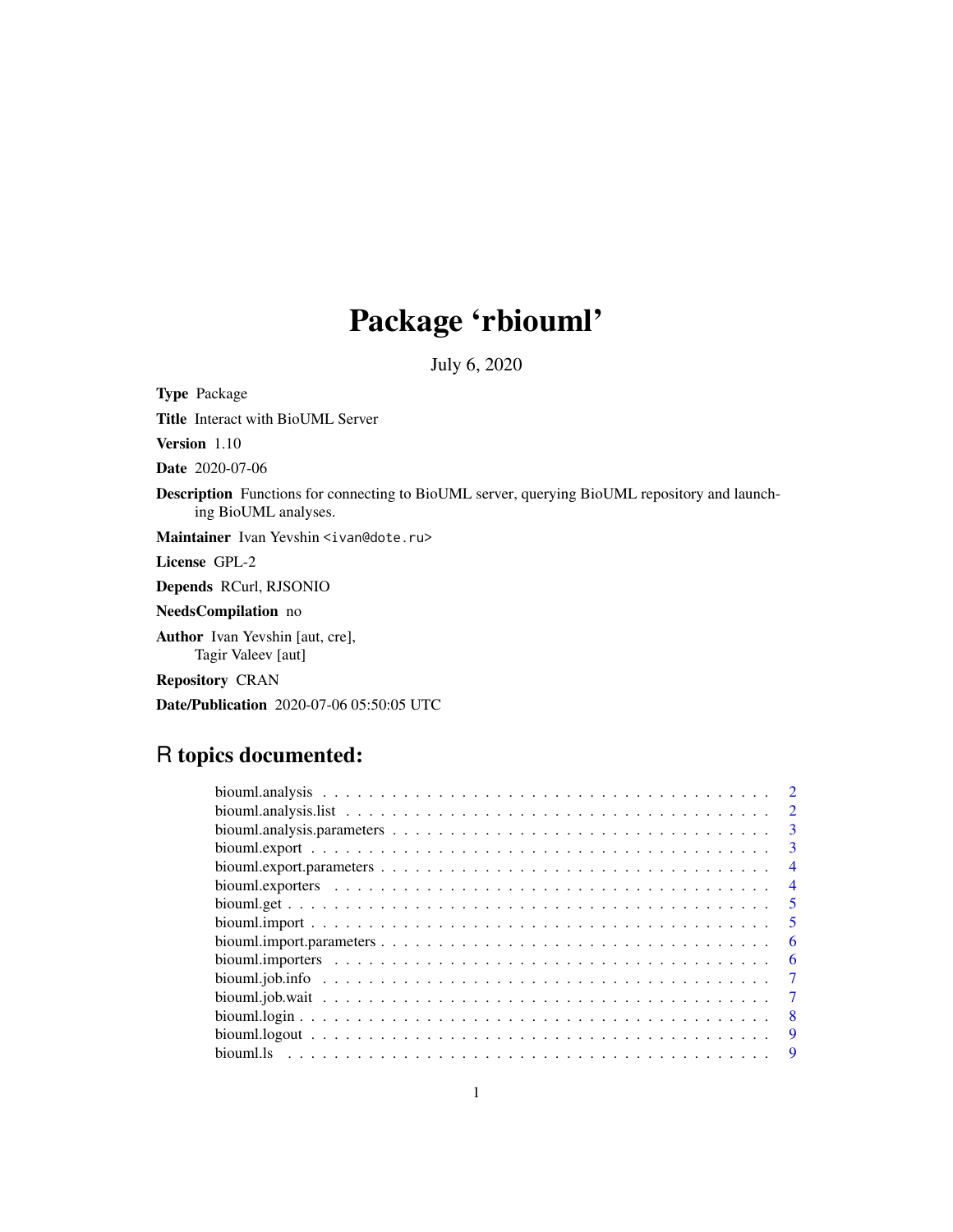# Package 'rbiouml'

July 6, 2020

<span id="page-0-0"></span>Type Package Title Interact with BioUML Server Version 1.10 Date 2020-07-06 Description Functions for connecting to BioUML server, querying BioUML repository and launching BioUML analyses. Maintainer Ivan Yevshin <ivan@dote.ru> License GPL-2 Depends RCurl, RJSONIO NeedsCompilation no Author Ivan Yevshin [aut, cre], Tagir Valeev [aut] Repository CRAN Date/Publication 2020-07-06 05:50:05 UTC

# R topics documented:

| $\mathcal{D}_{\mathcal{L}}$ |  |
|-----------------------------|--|
| $\mathcal{L}$               |  |
| $\mathbf{B}$                |  |
| 3                           |  |
| $\overline{4}$              |  |
| 4                           |  |
| 5                           |  |
| -5                          |  |
| 6                           |  |
| 6                           |  |
| 7                           |  |
|                             |  |
| -8                          |  |
| 9                           |  |
| 9                           |  |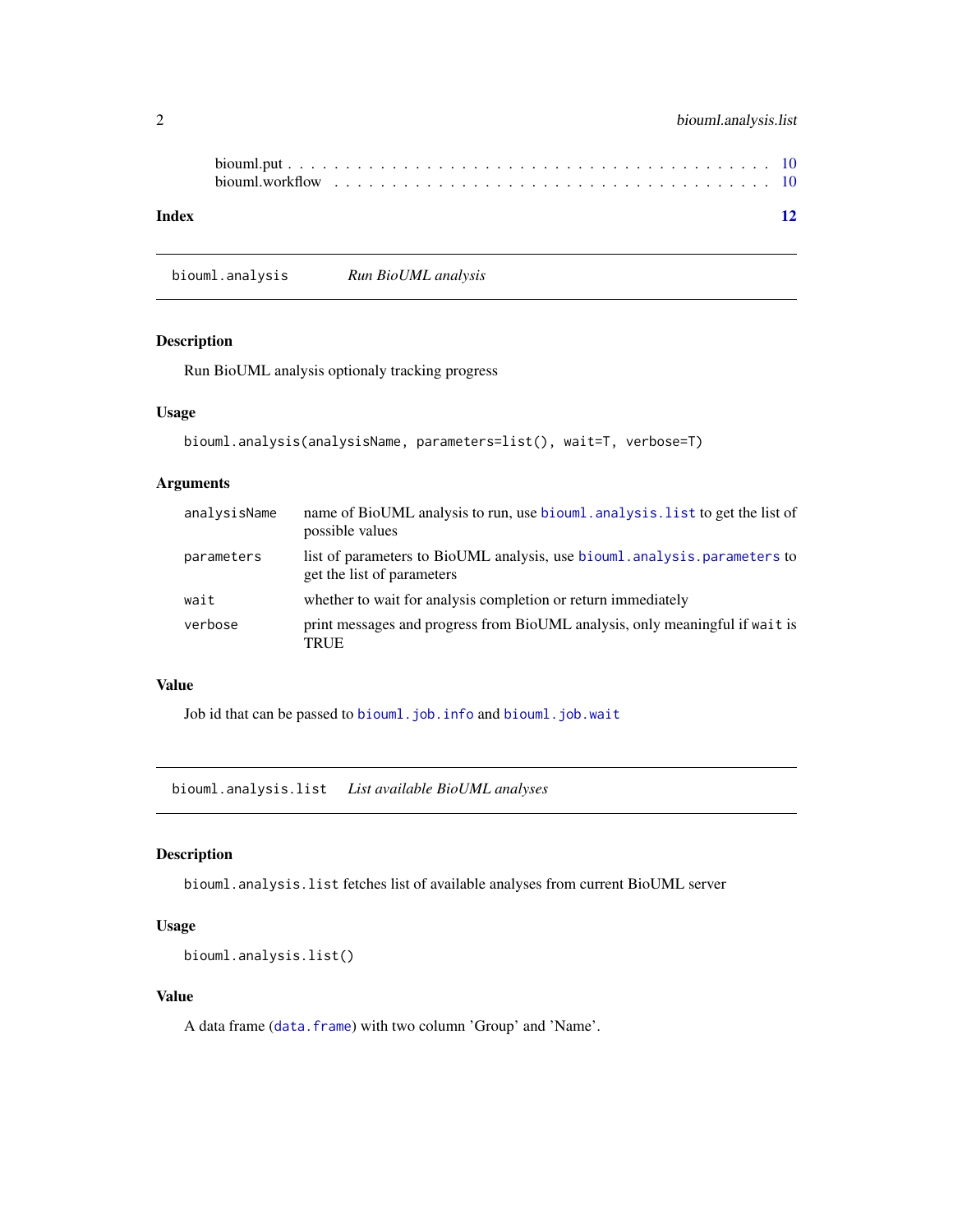<span id="page-1-0"></span>

| Index |  |  |  |  |  |  |  |  |  |  |  |  |  |  | <b>12</b> |
|-------|--|--|--|--|--|--|--|--|--|--|--|--|--|--|-----------|

biouml.analysis *Run BioUML analysis*

#### Description

Run BioUML analysis optionaly tracking progress

#### Usage

```
biouml.analysis(analysisName, parameters=list(), wait=T, verbose=T)
```
#### Arguments

| analysisName | name of BioUML analysis to run, use biouml. analysis. list to get the list of<br>possible values       |
|--------------|--------------------------------------------------------------------------------------------------------|
| parameters   | list of parameters to BioUML analysis, use biouml analysis parameters to<br>get the list of parameters |
| wait         | whether to wait for analysis completion or return immediately                                          |
| verbose      | print messages and progress from BioUML analysis, only meaningful if wait is<br><b>TRUE</b>            |

#### Value

Job id that can be passed to [biouml.job.info](#page-6-1) and [biouml.job.wait](#page-6-2)

<span id="page-1-1"></span>biouml.analysis.list *List available BioUML analyses*

#### Description

biouml.analysis.list fetches list of available analyses from current BioUML server

#### Usage

```
biouml.analysis.list()
```
#### Value

A data frame ([data.frame](#page-0-0)) with two column 'Group' and 'Name'.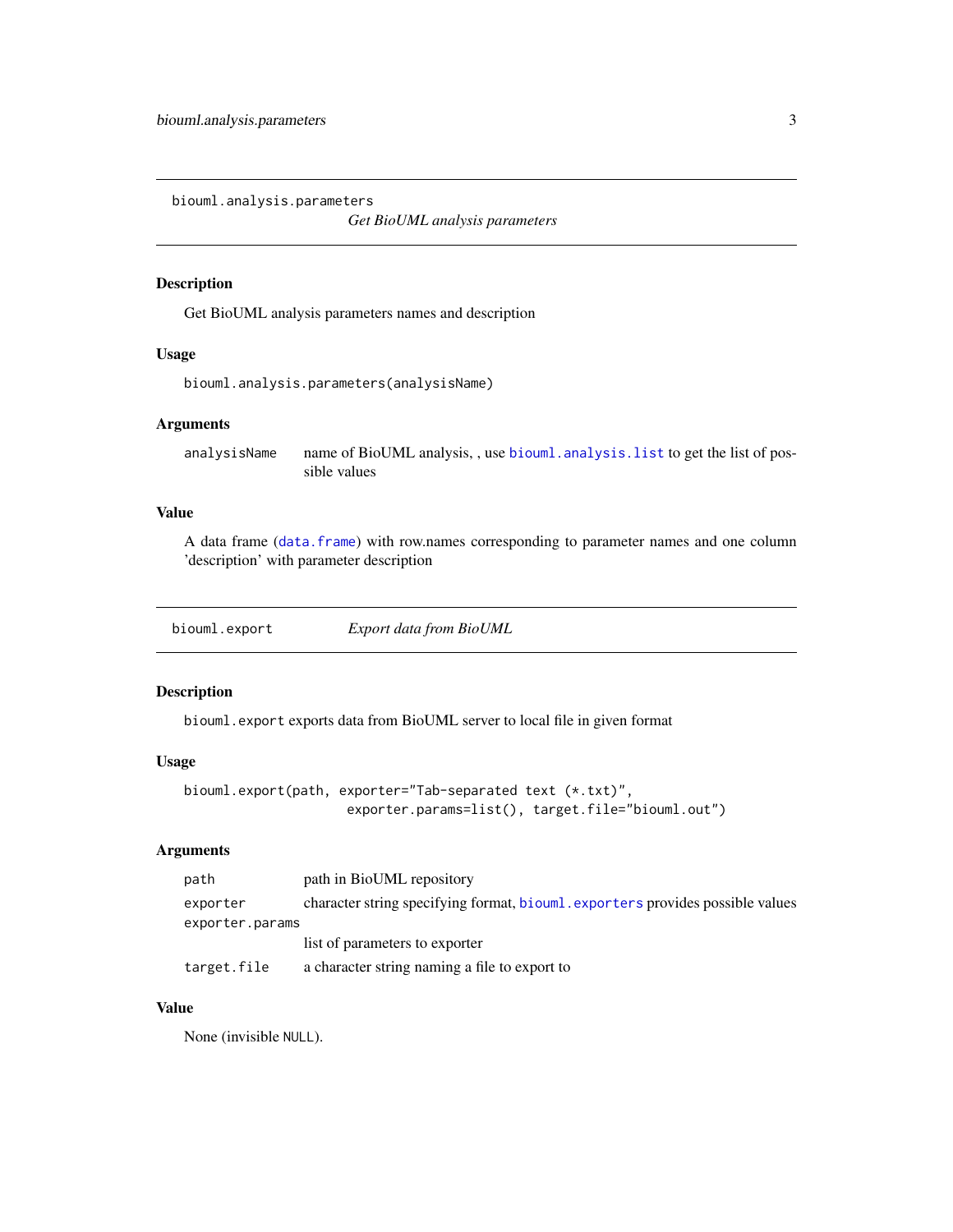<span id="page-2-1"></span><span id="page-2-0"></span>biouml.analysis.parameters

*Get BioUML analysis parameters*

#### Description

Get BioUML analysis parameters names and description

#### Usage

```
biouml.analysis.parameters(analysisName)
```
#### Arguments

analysisName name of BioUML analysis, , use [biouml.analysis.list](#page-1-1) to get the list of possible values

#### Value

A data frame ([data.frame](#page-0-0)) with row.names corresponding to parameter names and one column 'description' with parameter description

<span id="page-2-2"></span>biouml.export *Export data from BioUML*

#### Description

biouml.export exports data from BioUML server to local file in given format

#### Usage

```
biouml.export(path, exporter="Tab-separated text (*.txt)",
                     exporter.params=list(), target.file="biouml.out")
```
#### Arguments

| path            | path in BioUML repository                                                      |
|-----------------|--------------------------------------------------------------------------------|
| exporter        | character string specifying format, biouml. exporters provides possible values |
| exporter.params |                                                                                |
|                 | list of parameters to exporter                                                 |
| target.file     | a character string naming a file to export to                                  |

#### Value

None (invisible NULL).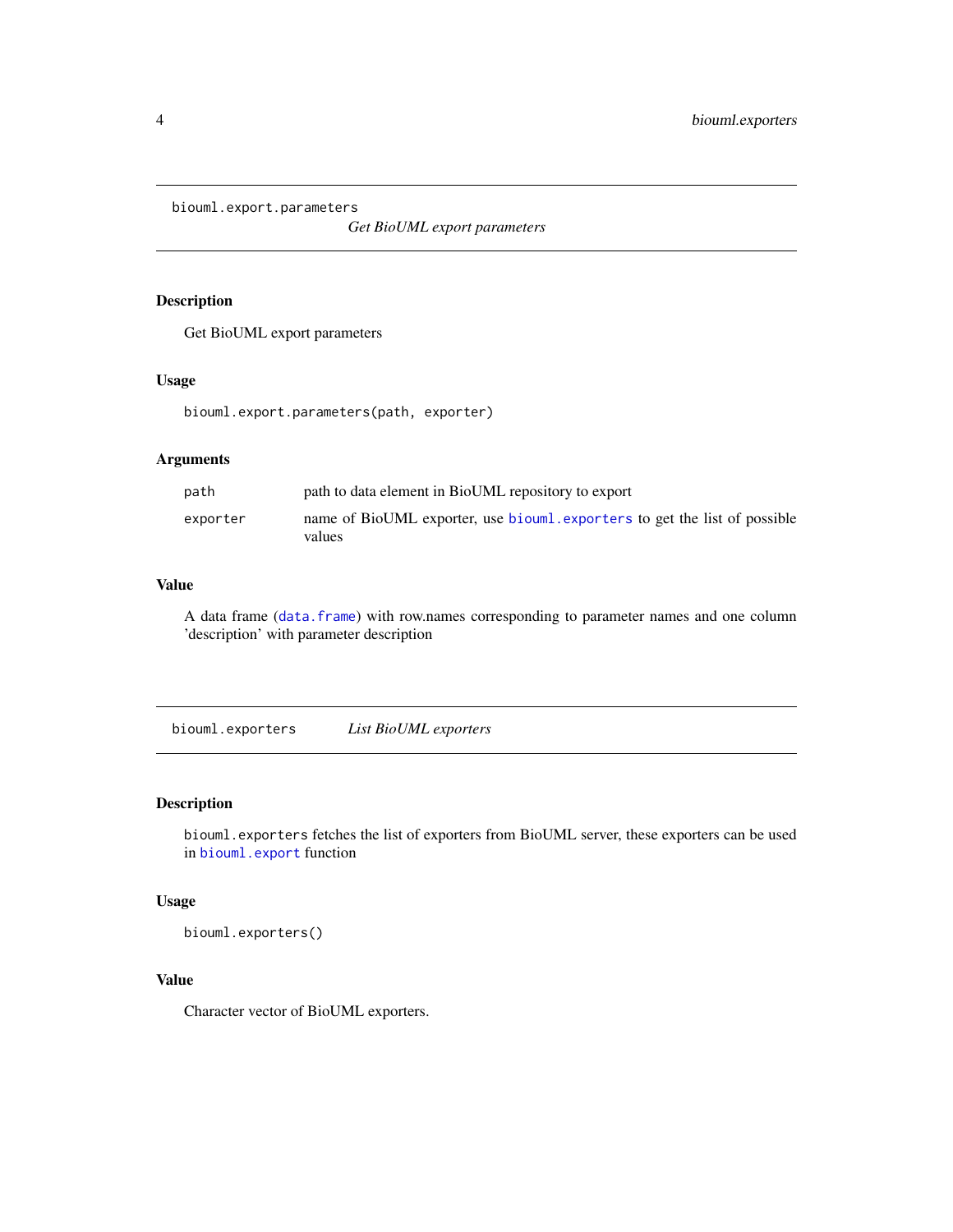<span id="page-3-0"></span>biouml.export.parameters

*Get BioUML export parameters*

#### Description

Get BioUML export parameters

#### Usage

biouml.export.parameters(path, exporter)

#### Arguments

| path     | path to data element in BioUML repository to export                                 |
|----------|-------------------------------------------------------------------------------------|
| exporter | name of BioUML exporter, use biouml exporters to get the list of possible<br>values |

#### Value

A data frame ([data.frame](#page-0-0)) with row.names corresponding to parameter names and one column 'description' with parameter description

<span id="page-3-1"></span>biouml.exporters *List BioUML exporters*

#### Description

biouml.exporters fetches the list of exporters from BioUML server, these exporters can be used in [biouml.export](#page-2-2) function

#### Usage

biouml.exporters()

#### Value

Character vector of BioUML exporters.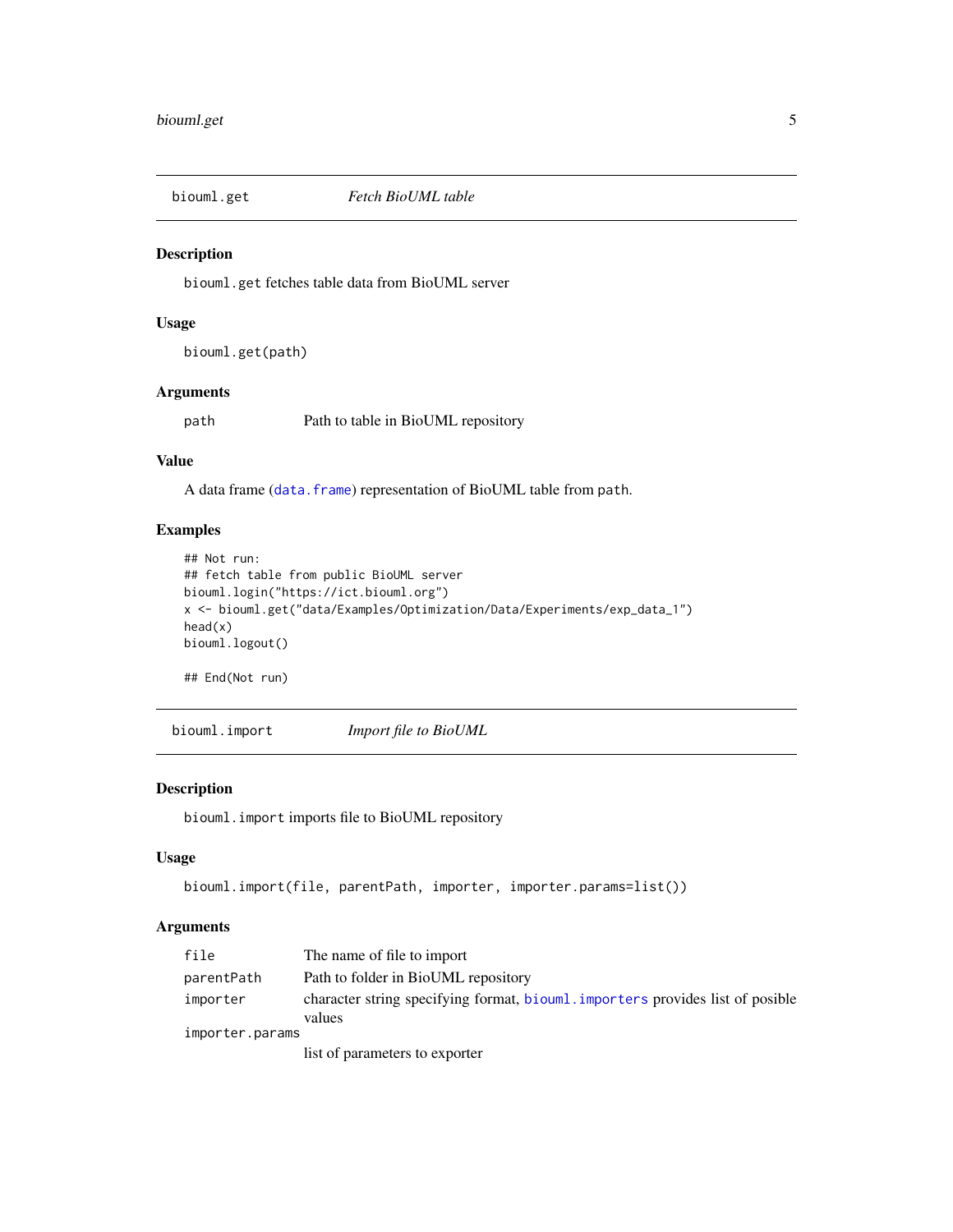<span id="page-4-0"></span>

#### Description

biouml.get fetches table data from BioUML server

#### Usage

biouml.get(path)

#### Arguments

path Path to table in BioUML repository

#### Value

A data frame ([data.frame](#page-0-0)) representation of BioUML table from path.

#### Examples

```
## Not run:
## fetch table from public BioUML server
biouml.login("https://ict.biouml.org")
x <- biouml.get("data/Examples/Optimization/Data/Experiments/exp_data_1")
head(x)
biouml.logout()
```
## End(Not run)

<span id="page-4-1"></span>biouml.import *Import file to BioUML*

#### Description

biouml.import imports file to BioUML repository

#### Usage

```
biouml.import(file, parentPath, importer, importer.params=list())
```
#### Arguments

| file            | The name of file to import                                                     |
|-----------------|--------------------------------------------------------------------------------|
| parentPath      | Path to folder in BioUML repository                                            |
| importer        | character string specifying format, biouml. importers provides list of posible |
|                 | values                                                                         |
| importer.params |                                                                                |
|                 | list of parameters to exporter                                                 |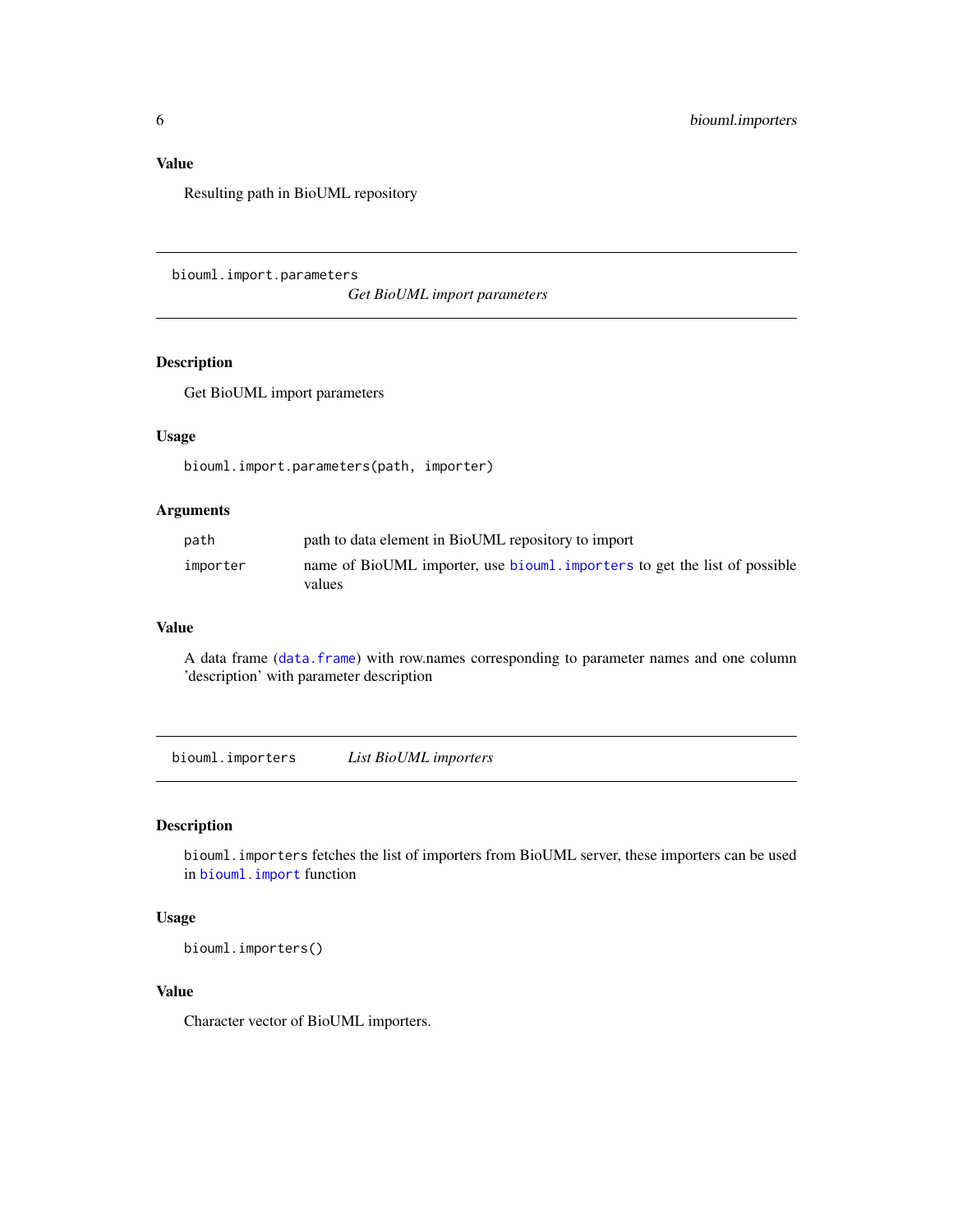### <span id="page-5-0"></span>Value

Resulting path in BioUML repository

biouml.import.parameters

*Get BioUML import parameters*

#### Description

Get BioUML import parameters

#### Usage

biouml.import.parameters(path, importer)

#### Arguments

| path     | path to data element in BioUML repository to import                                 |
|----------|-------------------------------------------------------------------------------------|
| importer | name of BioUML importer, use biouml importers to get the list of possible<br>values |

#### Value

A data frame ([data.frame](#page-0-0)) with row.names corresponding to parameter names and one column 'description' with parameter description

<span id="page-5-1"></span>biouml.importers *List BioUML importers*

#### Description

biouml.importers fetches the list of importers from BioUML server, these importers can be used in [biouml.import](#page-4-1) function

#### Usage

biouml.importers()

#### Value

Character vector of BioUML importers.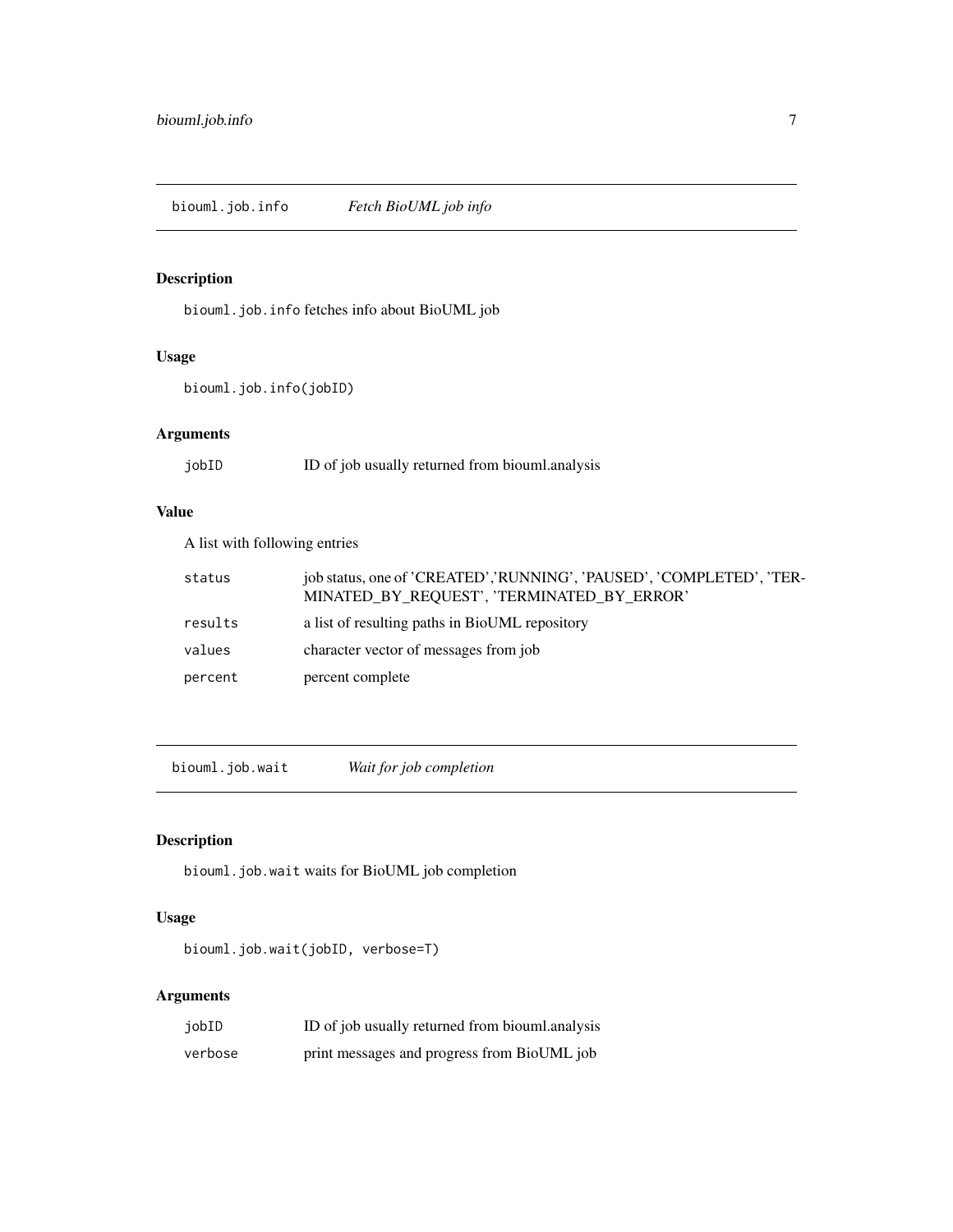<span id="page-6-1"></span><span id="page-6-0"></span>biouml.job.info *Fetch BioUML job info*

# Description

biouml.job.info fetches info about BioUML job

# Usage

biouml.job.info(jobID)

# Arguments

| jobID | ID of job usually returned from biouml.analysis |  |
|-------|-------------------------------------------------|--|
|       |                                                 |  |

#### Value

A list with following entries

| status  | job status, one of 'CREATED','RUNNING', 'PAUSED', 'COMPLETED', 'TER-<br>MINATED BY_REQUEST', 'TERMINATED_BY_ERROR' |
|---------|--------------------------------------------------------------------------------------------------------------------|
| results | a list of resulting paths in BioUML repository                                                                     |
| values  | character vector of messages from job                                                                              |
| percent | percent complete                                                                                                   |

<span id="page-6-2"></span>biouml.job.wait *Wait for job completion*

# Description

biouml.job.wait waits for BioUML job completion

# Usage

```
biouml.job.wait(jobID, verbose=T)
```
# Arguments

| jobID   | ID of job usually returned from biouml.analysis |
|---------|-------------------------------------------------|
| verbose | print messages and progress from BioUML job     |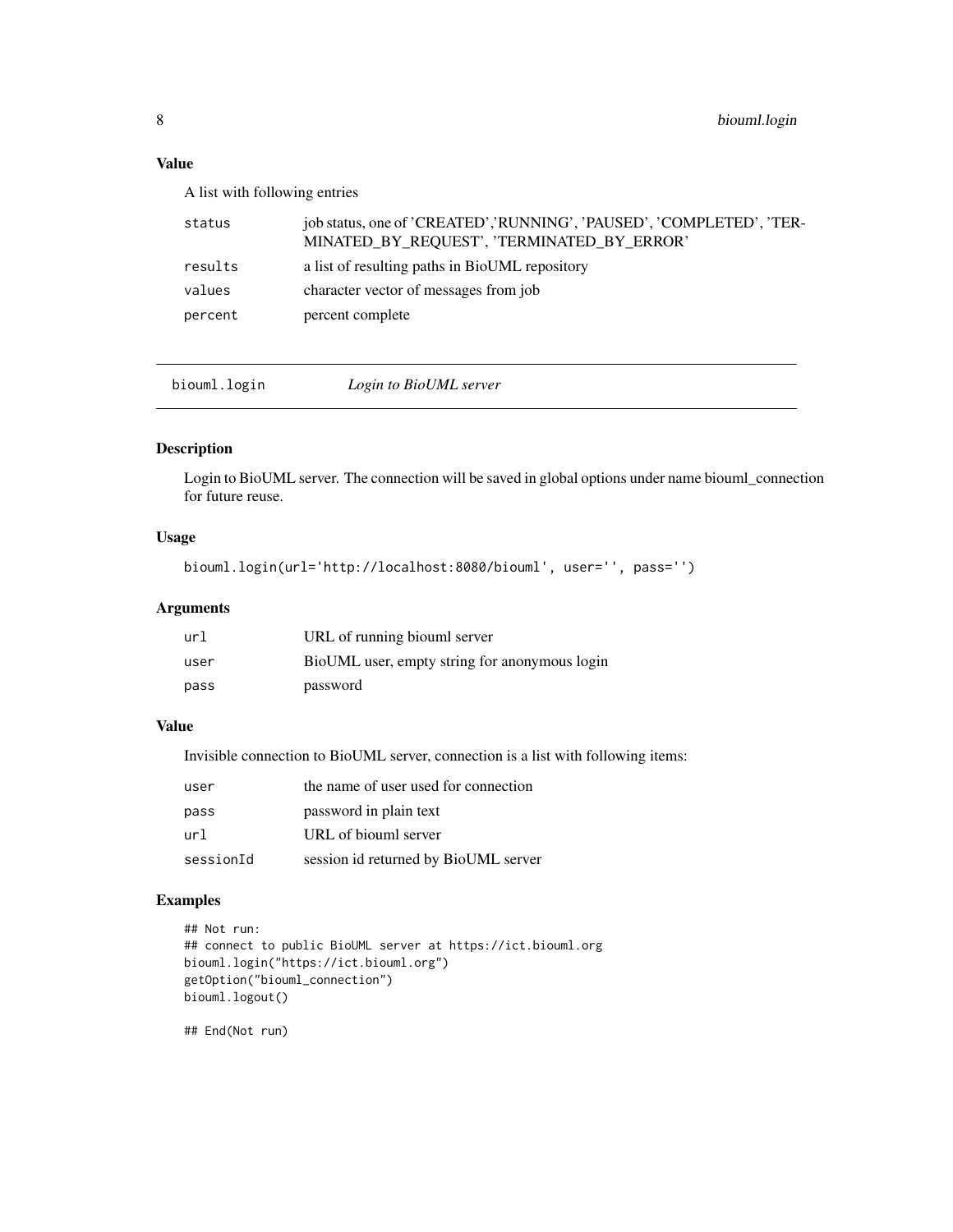#### <span id="page-7-0"></span>Value

A list with following entries

| status  | job status, one of 'CREATED', 'RUNNING', 'PAUSED', 'COMPLETED', 'TER-<br>MINATED_BY_REQUEST', 'TERMINATED_BY_ERROR' |
|---------|---------------------------------------------------------------------------------------------------------------------|
| results | a list of resulting paths in BioUML repository                                                                      |
| values  | character vector of messages from job                                                                               |
| percent | percent complete                                                                                                    |
|         |                                                                                                                     |

biouml.login *Login to BioUML server*

#### Description

Login to BioUML server. The connection will be saved in global options under name biouml\_connection for future reuse.

#### Usage

```
biouml.login(url='http://localhost:8080/biouml', user='', pass='')
```
#### Arguments

| url  | URL of running biouml server                  |
|------|-----------------------------------------------|
| user | BioUML user, empty string for anonymous login |
| pass | password                                      |

#### Value

Invisible connection to BioUML server, connection is a list with following items:

| user      | the name of user used for connection |
|-----------|--------------------------------------|
| pass      | password in plain text               |
| url       | URL of biouml server                 |
| sessionId | session id returned by BioUML server |

#### Examples

```
## Not run:
## connect to public BioUML server at https://ict.biouml.org
biouml.login("https://ict.biouml.org")
getOption("biouml_connection")
biouml.logout()
```
## End(Not run)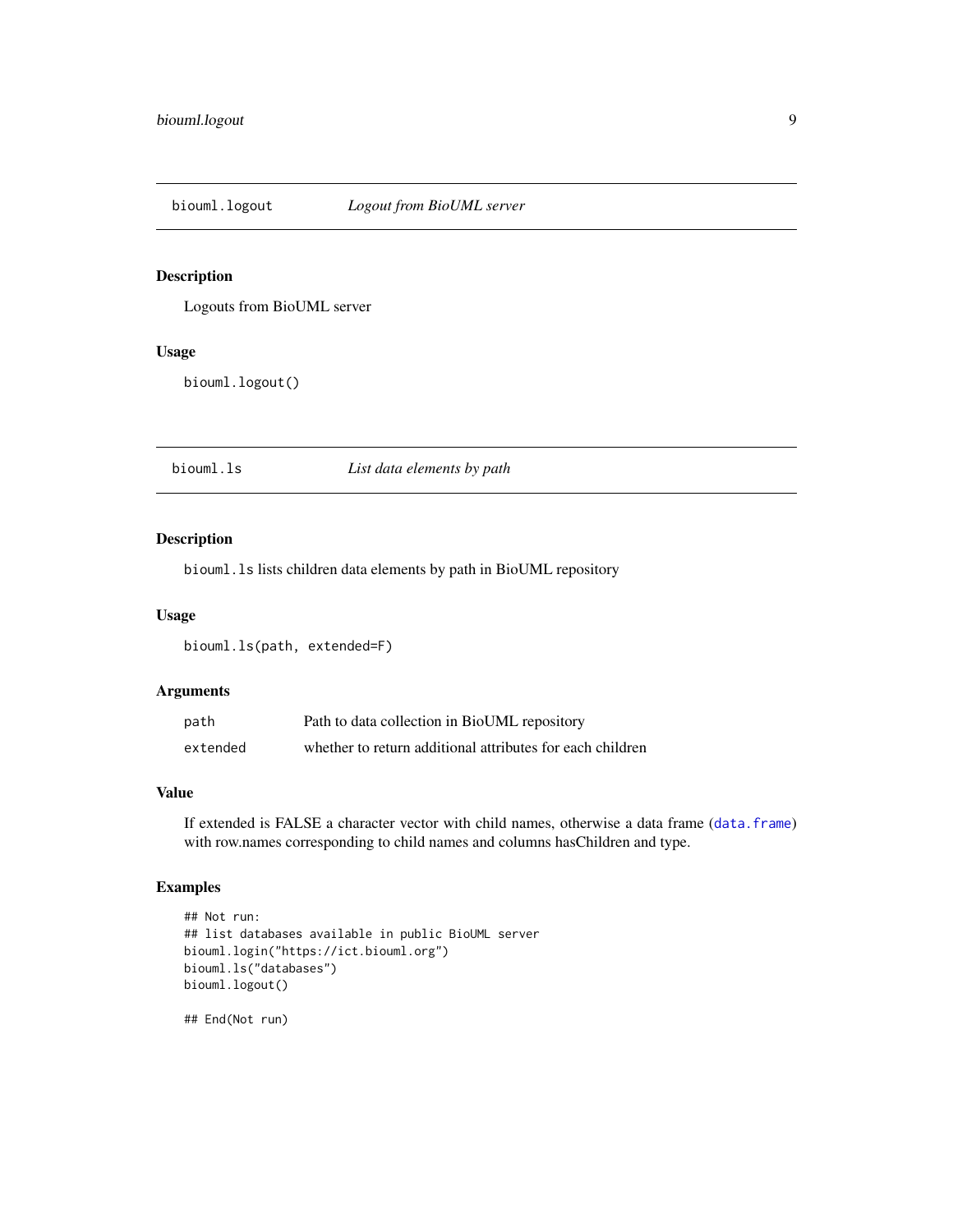<span id="page-8-0"></span>

#### Description

Logouts from BioUML server

#### Usage

biouml.logout()

biouml.ls *List data elements by path*

### **Description**

biouml.ls lists children data elements by path in BioUML repository

#### Usage

biouml.ls(path, extended=F)

#### Arguments

| path     | Path to data collection in BioUML repository              |
|----------|-----------------------------------------------------------|
| extended | whether to return additional attributes for each children |

#### Value

If extended is FALSE a character vector with child names, otherwise a data frame ([data.frame](#page-0-0)) with row.names corresponding to child names and columns hasChildren and type.

#### Examples

```
## Not run:
## list databases available in public BioUML server
biouml.login("https://ict.biouml.org")
biouml.ls("databases")
biouml.logout()
```
## End(Not run)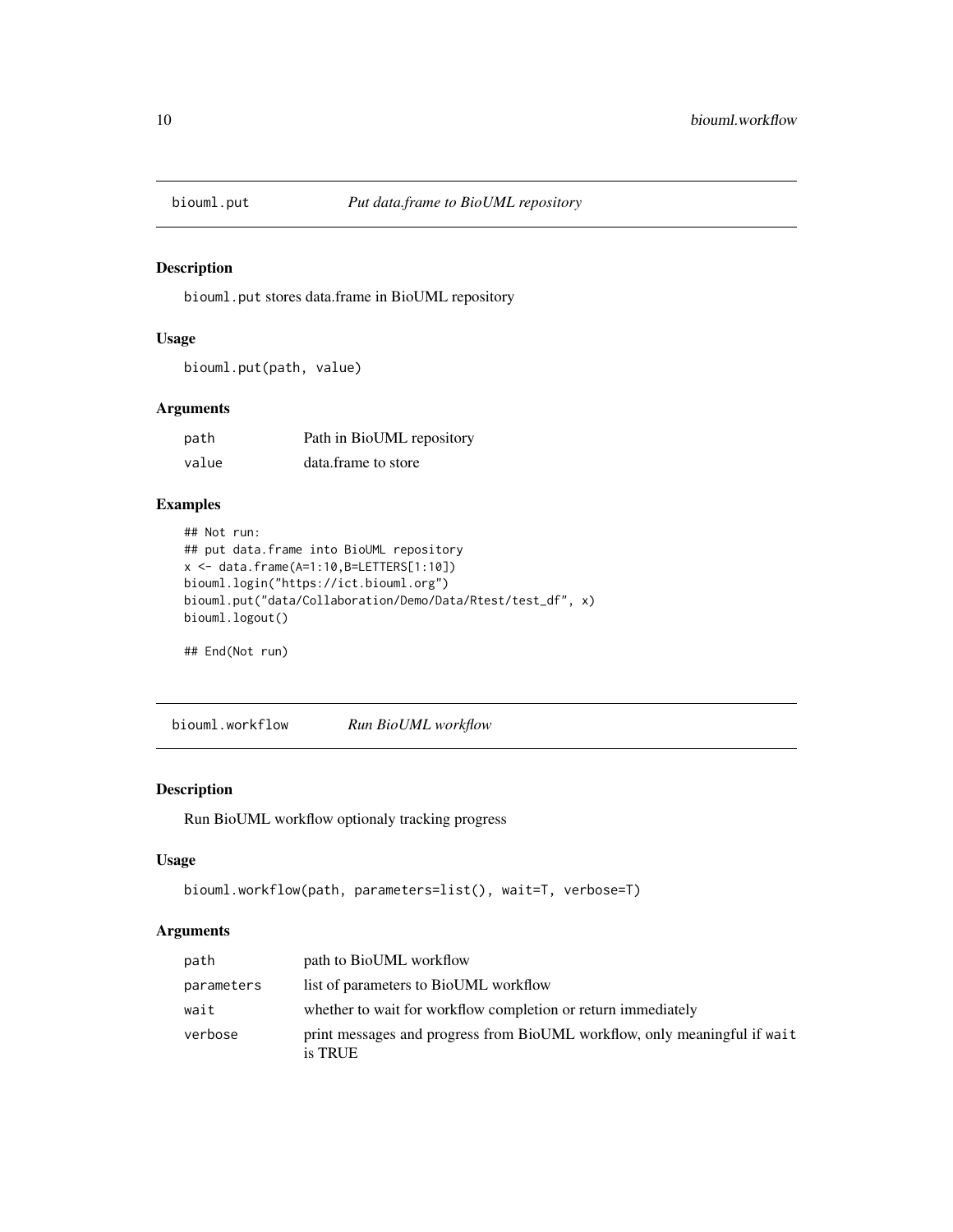<span id="page-9-0"></span>

#### Description

biouml.put stores data.frame in BioUML repository

#### Usage

biouml.put(path, value)

#### Arguments

| path  | Path in BioUML repository |  |
|-------|---------------------------|--|
| value | data.frame to store       |  |

#### Examples

```
## Not run:
## put data.frame into BioUML repository
x < - data.frame(A=1:10,B=LETTERS[1:10])
biouml.login("https://ict.biouml.org")
biouml.put("data/Collaboration/Demo/Data/Rtest/test_df", x)
biouml.logout()
```
## End(Not run)

biouml.workflow *Run BioUML workflow*

#### Description

Run BioUML workflow optionaly tracking progress

#### Usage

```
biouml.workflow(path, parameters=list(), wait=T, verbose=T)
```
#### Arguments

| path       | path to BioUML workflow                                                              |
|------------|--------------------------------------------------------------------------------------|
| parameters | list of parameters to BioUML workflow                                                |
| wait       | whether to wait for workflow completion or return immediately                        |
| verbose    | print messages and progress from BioUML workflow, only meaningful if wait<br>is TRUE |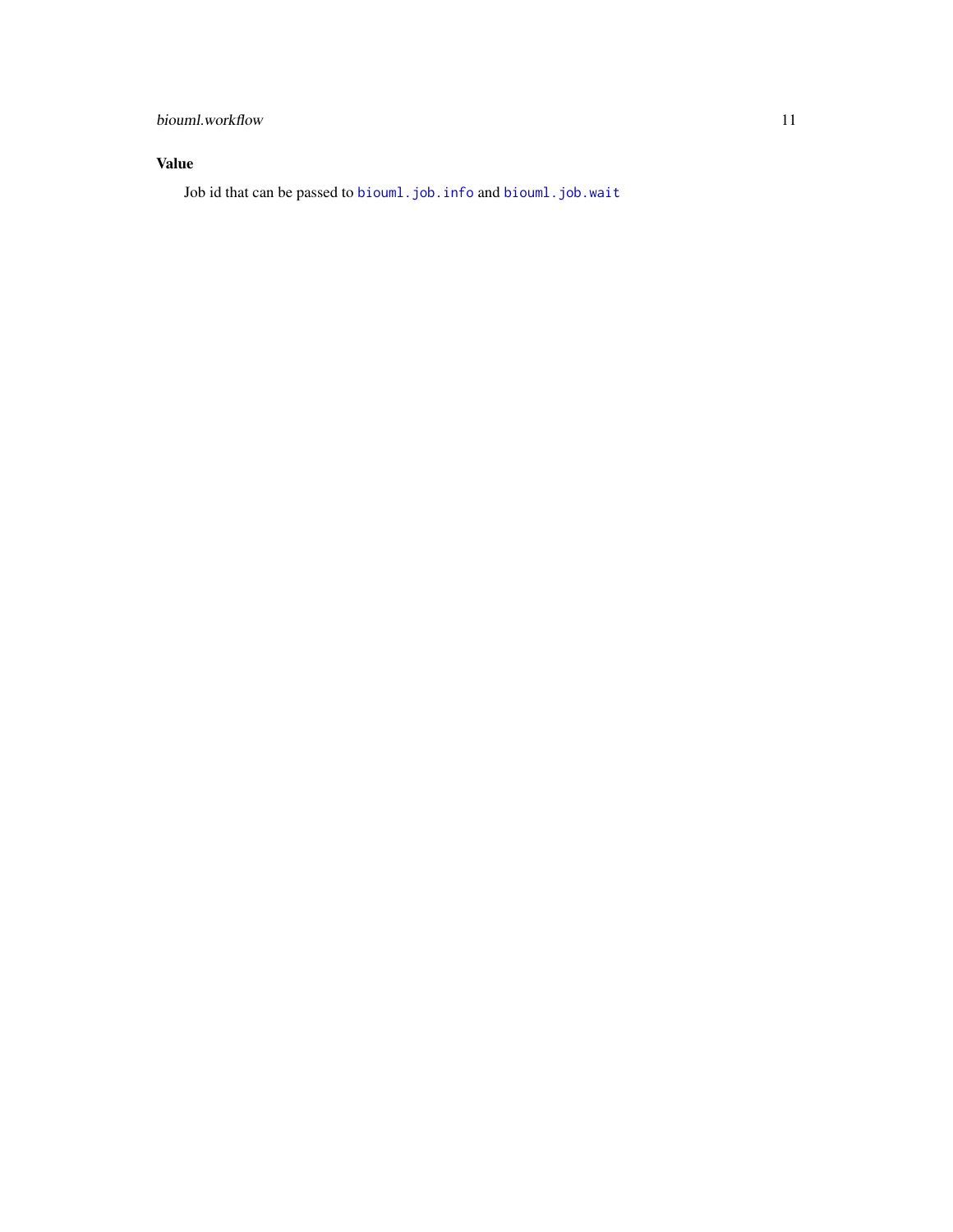# <span id="page-10-0"></span>biouml.workflow 11

# Value

Job id that can be passed to [biouml.job.info](#page-6-1) and [biouml.job.wait](#page-6-2)